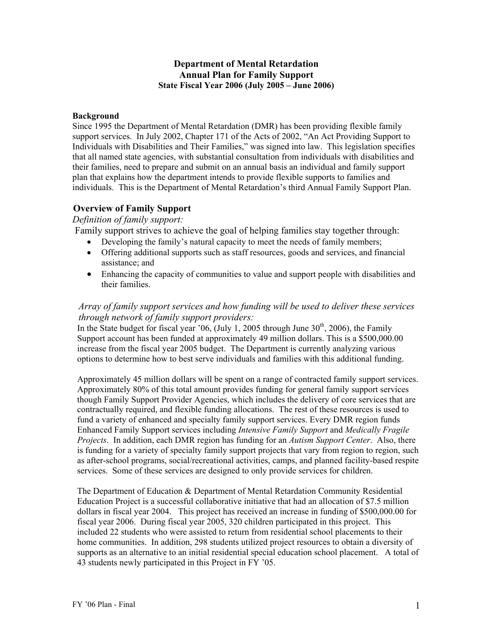## **Department of Mental Retardation Annual Plan for Family Support State Fiscal Year 2006 (July 2005 – June 2006)**

### **Background**

Since 1995 the Department of Mental Retardation (DMR) has been providing flexible family support services. In July 2002, Chapter 171 of the Acts of 2002, "An Act Providing Support to Individuals with Disabilities and Their Families," was signed into law. This legislation specifies that all named state agencies, with substantial consultation from individuals with disabilities and their families, need to prepare and submit on an annual basis an individual and family support plan that explains how the department intends to provide flexible supports to families and individuals. This is the Department of Mental Retardation's third Annual Family Support Plan.

# **Overview of Family Support**

### *Definition of family support:*

Family support strives to achieve the goal of helping families stay together through:

- Developing the family's natural capacity to meet the needs of family members;
- Offering additional supports such as staff resources, goods and services, and financial assistance; and
- Enhancing the capacity of communities to value and support people with disabilities and their families.

# *Array of family support services and how funding will be used to deliver these services through network of family support providers:*

In the State budget for fiscal year '06, (July 1, 2005 through June  $30<sup>th</sup>$ , 2006), the Family Support account has been funded at approximately 49 million dollars. This is a \$500,000.00 increase from the fiscal year 2005 budget. The Department is currently analyzing various options to determine how to best serve individuals and families with this additional funding.

Approximately 45 million dollars will be spent on a range of contracted family support services. Approximately 80% of this total amount provides funding for general family support services though Family Support Provider Agencies, which includes the delivery of core services that are contractually required, and flexible funding allocations. The rest of these resources is used to fund a variety of enhanced and specialty family support services. Every DMR region funds Enhanced Family Support services including *Intensive Family Support* and *Medically Fragile Projects*. In addition, each DMR region has funding for an *Autism Support Center*. Also, there is funding for a variety of specialty family support projects that vary from region to region, such as after-school programs, social/recreational activities, camps, and planned facility-based respite services. Some of these services are designed to only provide services for children.

The Department of Education & Department of Mental Retardation Community Residential Education Project is a successful collaborative initiative that had an allocation of \$7.5 million dollars in fiscal year 2004. This project has received an increase in funding of \$500,000.00 for fiscal year 2006. During fiscal year 2005, 320 children participated in this project. This included 22 students who were assisted to return from residential school placements to their home communities. In addition, 298 students utilized project resources to obtain a diversity of supports as an alternative to an initial residential special education school placement. A total of 43 students newly participated in this Project in FY '05.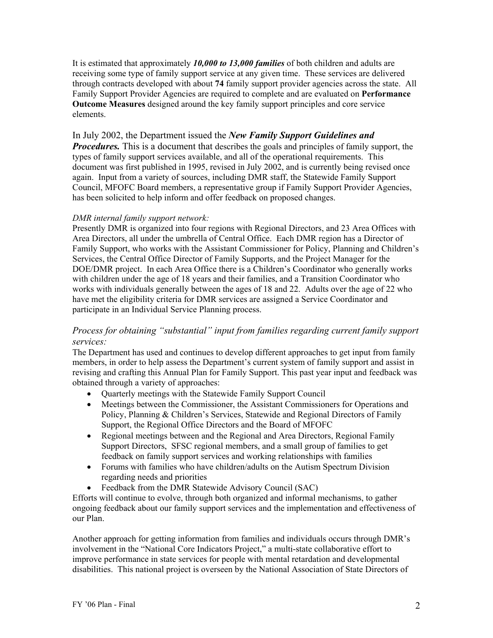It is estimated that approximately *10,000 to 13,000 families* of both children and adults are receiving some type of family support service at any given time. These services are delivered through contracts developed with about **74** family support provider agencies across the state. All Family Support Provider Agencies are required to complete and are evaluated on **Performance Outcome Measures** designed around the key family support principles and core service elements.

# In July 2002, the Department issued the *New Family Support Guidelines and*

*Procedures.* This is a document that describes the goals and principles of family support, the types of family support services available, and all of the operational requirements. This document was first published in 1995, revised in July 2002, and is currently being revised once again. Input from a variety of sources, including DMR staff, the Statewide Family Support Council, MFOFC Board members, a representative group if Family Support Provider Agencies, has been solicited to help inform and offer feedback on proposed changes.

### *DMR internal family support network:*

Presently DMR is organized into four regions with Regional Directors, and 23 Area Offices with Area Directors, all under the umbrella of Central Office. Each DMR region has a Director of Family Support, who works with the Assistant Commissioner for Policy, Planning and Children's Services, the Central Office Director of Family Supports, and the Project Manager for the DOE/DMR project. In each Area Office there is a Children's Coordinator who generally works with children under the age of 18 years and their families, and a Transition Coordinator who works with individuals generally between the ages of 18 and 22. Adults over the age of 22 who have met the eligibility criteria for DMR services are assigned a Service Coordinator and participate in an Individual Service Planning process.

# *Process for obtaining "substantial" input from families regarding current family support services:*

The Department has used and continues to develop different approaches to get input from family members, in order to help assess the Department's current system of family support and assist in revising and crafting this Annual Plan for Family Support. This past year input and feedback was obtained through a variety of approaches:

- Ouarterly meetings with the Statewide Family Support Council
- Meetings between the Commissioner, the Assistant Commissioners for Operations and Policy, Planning & Children's Services, Statewide and Regional Directors of Family Support, the Regional Office Directors and the Board of MFOFC
- Regional meetings between and the Regional and Area Directors, Regional Family Support Directors, SFSC regional members, and a small group of families to get feedback on family support services and working relationships with families
- Forums with families who have children/adults on the Autism Spectrum Division regarding needs and priorities
- Feedback from the DMR Statewide Advisory Council (SAC)

Efforts will continue to evolve, through both organized and informal mechanisms, to gather ongoing feedback about our family support services and the implementation and effectiveness of our Plan.

Another approach for getting information from families and individuals occurs through DMR's involvement in the "National Core Indicators Project," a multi-state collaborative effort to improve performance in state services for people with mental retardation and developmental disabilities. This national project is overseen by the National Association of State Directors of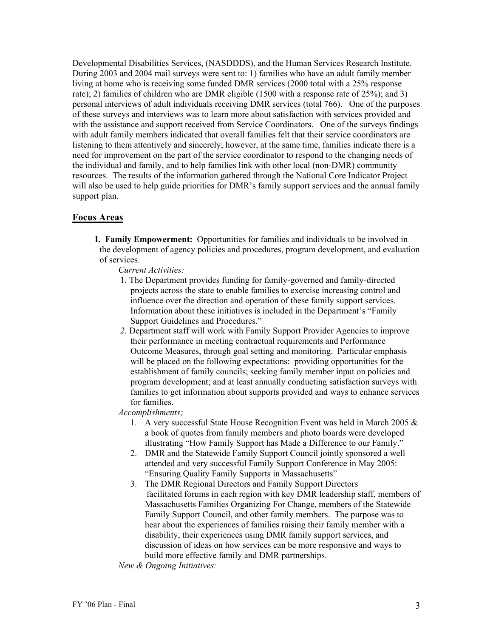Developmental Disabilities Services, (NASDDDS), and the Human Services Research Institute. During 2003 and 2004 mail surveys were sent to: 1) families who have an adult family member living at home who is receiving some funded DMR services (2000 total with a 25% response rate); 2) families of children who are DMR eligible (1500 with a response rate of 25%); and 3) personal interviews of adult individuals receiving DMR services (total 766). One of the purposes of these surveys and interviews was to learn more about satisfaction with services provided and with the assistance and support received from Service Coordinators. One of the surveys findings with adult family members indicated that overall families felt that their service coordinators are listening to them attentively and sincerely; however, at the same time, families indicate there is a need for improvement on the part of the service coordinator to respond to the changing needs of the individual and family, and to help families link with other local (non-DMR) community resources. The results of the information gathered through the National Core Indicator Project will also be used to help guide priorities for DMR's family support services and the annual family support plan.

#### **Focus Areas**

**I. Family Empowerment:** Opportunities for families and individuals to be involved in the development of agency policies and procedures, program development, and evaluation of services.

*Current Activities:*

- 1. The Department provides funding for family-governed and family-directed projects across the state to enable families to exercise increasing control and influence over the direction and operation of these family support services. Information about these initiatives is included in the Department's "Family Support Guidelines and Procedures."
- *2.* Department staff will work with Family Support Provider Agencies to improve their performance in meeting contractual requirements and Performance Outcome Measures, through goal setting and monitoring. Particular emphasis will be placed on the following expectations: providing opportunities for the establishment of family councils; seeking family member input on policies and program development; and at least annually conducting satisfaction surveys with families to get information about supports provided and ways to enhance services for families.

*Accomplishments;* 

- 1. A very successful State House Recognition Event was held in March 2005  $\&$ a book of quotes from family members and photo boards were developed illustrating "How Family Support has Made a Difference to our Family."
- 2. DMR and the Statewide Family Support Council jointly sponsored a well attended and very successful Family Support Conference in May 2005: "Ensuring Quality Family Supports in Massachusetts"
- 3. The DMR Regional Directors and Family Support Directors facilitated forums in each region with key DMR leadership staff, members of Massachusetts Families Organizing For Change, members of the Statewide Family Support Council, and other family members. The purpose was to hear about the experiences of families raising their family member with a disability, their experiences using DMR family support services, and discussion of ideas on how services can be more responsive and ways to build more effective family and DMR partnerships.

*New & Ongoing Initiatives:*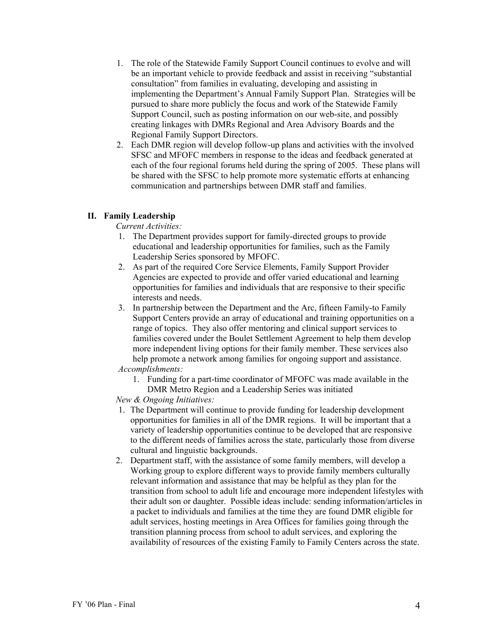- 1. The role of the Statewide Family Support Council continues to evolve and will be an important vehicle to provide feedback and assist in receiving "substantial consultation" from families in evaluating, developing and assisting in implementing the Department's Annual Family Support Plan. Strategies will be pursued to share more publicly the focus and work of the Statewide Family Support Council, such as posting information on our web-site, and possibly creating linkages with DMRs Regional and Area Advisory Boards and the Regional Family Support Directors.
- 2. Each DMR region will develop follow-up plans and activities with the involved SFSC and MFOFC members in response to the ideas and feedback generated at each of the four regional forums held during the spring of 2005. These plans will be shared with the SFSC to help promote more systematic efforts at enhancing communication and partnerships between DMR staff and families.

#### **II. Family Leadership**

*Current Activities:* 

- 1. The Department provides support for family-directed groups to provide educational and leadership opportunities for families, such as the Family Leadership Series sponsored by MFOFC.
- 2. As part of the required Core Service Elements, Family Support Provider Agencies are expected to provide and offer varied educational and learning opportunities for families and individuals that are responsive to their specific interests and needs.
- 3. In partnership between the Department and the Arc, fifteen Family-to Family Support Centers provide an array of educational and training opportunities on a range of topics. They also offer mentoring and clinical support services to families covered under the Boulet Settlement Agreement to help them develop more independent living options for their family member. These services also help promote a network among families for ongoing support and assistance.

*Accomplishments:* 

1. Funding for a part-time coordinator of MFOFC was made available in the DMR Metro Region and a Leadership Series was initiated

*New & Ongoing Initiatives:* 

- 1. The Department will continue to provide funding for leadership development opportunities for families in all of the DMR regions. It will be important that a variety of leadership opportunities continue to be developed that are responsive to the different needs of families across the state, particularly those from diverse cultural and linguistic backgrounds.
- 2. Department staff, with the assistance of some family members, will develop a Working group to explore different ways to provide family members culturally relevant information and assistance that may be helpful as they plan for the transition from school to adult life and encourage more independent lifestyles with their adult son or daughter. Possible ideas include: sending information/articles in a packet to individuals and families at the time they are found DMR eligible for adult services, hosting meetings in Area Offices for families going through the transition planning process from school to adult services, and exploring the availability of resources of the existing Family to Family Centers across the state.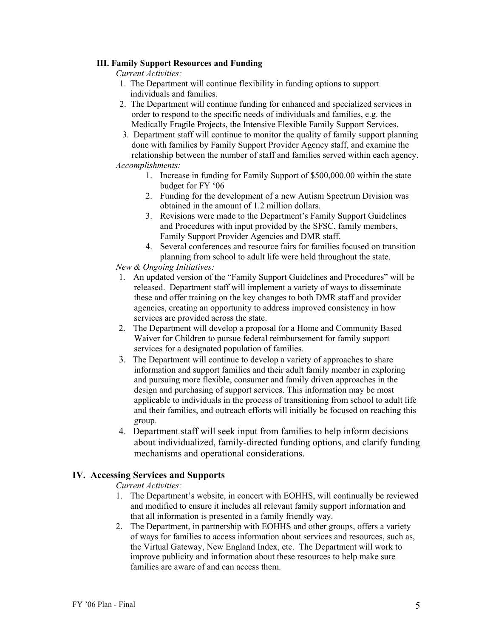#### **III. Family Support Resources and Funding**

*Current Activities:* 

- 1. The Department will continue flexibility in funding options to support individuals and families.
- 2. The Department will continue funding for enhanced and specialized services in order to respond to the specific needs of individuals and families, e.g. the Medically Fragile Projects, the Intensive Flexible Family Support Services.
- 3. Department staff will continue to monitor the quality of family support planning done with families by Family Support Provider Agency staff, and examine the relationship between the number of staff and families served within each agency. *Accomplishments:* 
	- 1. Increase in funding for Family Support of \$500,000.00 within the state budget for FY '06
	- 2. Funding for the development of a new Autism Spectrum Division was obtained in the amount of 1.2 million dollars.
	- 3. Revisions were made to the Department's Family Support Guidelines and Procedures with input provided by the SFSC, family members, Family Support Provider Agencies and DMR staff.
	- 4. Several conferences and resource fairs for families focused on transition planning from school to adult life were held throughout the state.

*New & Ongoing Initiatives:* 

- 1. An updated version of the "Family Support Guidelines and Procedures" will be released. Department staff will implement a variety of ways to disseminate these and offer training on the key changes to both DMR staff and provider agencies, creating an opportunity to address improved consistency in how services are provided across the state.
- 2. The Department will develop a proposal for a Home and Community Based Waiver for Children to pursue federal reimbursement for family support services for a designated population of families.
- 3. The Department will continue to develop a variety of approaches to share information and support families and their adult family member in exploring and pursuing more flexible, consumer and family driven approaches in the design and purchasing of support services. This information may be most applicable to individuals in the process of transitioning from school to adult life and their families, and outreach efforts will initially be focused on reaching this group.
- 4. Department staff will seek input from families to help inform decisions about individualized, family-directed funding options, and clarify funding mechanisms and operational considerations.

## **IV. Accessing Services and Supports**

*Current Activities:* 

- 1. The Department's website, in concert with EOHHS, will continually be reviewed and modified to ensure it includes all relevant family support information and that all information is presented in a family friendly way.
- 2. The Department, in partnership with EOHHS and other groups, offers a variety of ways for families to access information about services and resources, such as, the Virtual Gateway, New England Index, etc. The Department will work to improve publicity and information about these resources to help make sure families are aware of and can access them.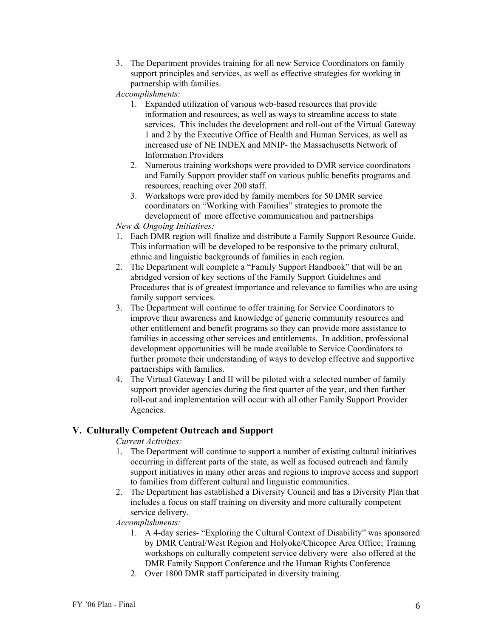3. The Department provides training for all new Service Coordinators on family support principles and services, as well as effective strategies for working in partnership with families.

*Accomplishments:* 

- 1. Expanded utilization of various web-based resources that provide information and resources, as well as ways to streamline access to state services. This includes the development and roll-out of the Virtual Gateway 1 and 2 by the Executive Office of Health and Human Services, as well as increased use of NE INDEX and MNIP- the Massachusetts Network of Information Providers
- 2. Numerous training workshops were provided to DMR service coordinators and Family Support provider staff on various public benefits programs and resources, reaching over 200 staff.
- 3. Workshops were provided by family members for 50 DMR service coordinators on "Working with Families" strategies to promote the development of more effective communication and partnerships

*New & Ongoing Initiatives:* 

- 1. Each DMR region will finalize and distribute a Family Support Resource Guide. This information will be developed to be responsive to the primary cultural, ethnic and linguistic backgrounds of families in each region.
- 2. The Department will complete a "Family Support Handbook" that will be an abridged version of key sections of the Family Support Guidelines and Procedures that is of greatest importance and relevance to families who are using family support services.
- 3. The Department will continue to offer training for Service Coordinators to improve their awareness and knowledge of generic community resources and other entitlement and benefit programs so they can provide more assistance to families in accessing other services and entitlements. In addition, professional development opportunities will be made available to Service Coordinators to further promote their understanding of ways to develop effective and supportive partnerships with families.
- 4. The Virtual Gateway I and II will be piloted with a selected number of family support provider agencies during the first quarter of the year, and then further roll-out and implementation will occur with all other Family Support Provider Agencies.

# **V. Culturally Competent Outreach and Support**

*Current Activities:* 

- 1. The Department will continue to support a number of existing cultural initiatives occurring in different parts of the state, as well as focused outreach and family support initiatives in many other areas and regions to improve access and support to families from different cultural and linguistic communities.
- 2. The Department has established a Diversity Council and has a Diversity Plan that includes a focus on staff training on diversity and more culturally competent service delivery.

#### *Accomplishments:*

- 1. A 4-day series- "Exploring the Cultural Context of Disability" was sponsored by DMR Central/West Region and Holyoke/Chicopee Area Office; Training workshops on culturally competent service delivery were also offered at the DMR Family Support Conference and the Human Rights Conference
- 2. Over 1800 DMR staff participated in diversity training.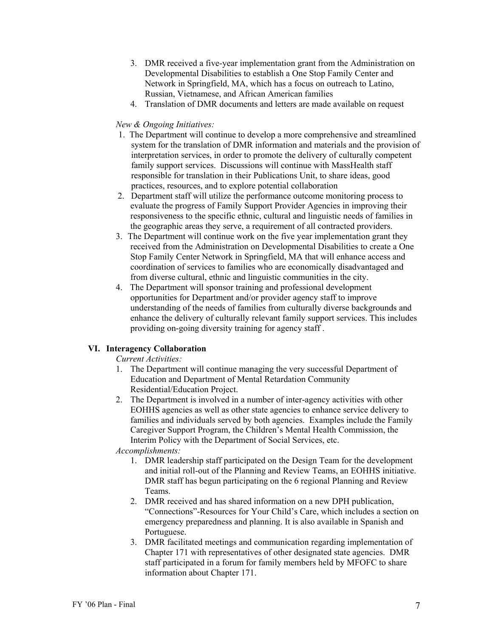- 3. DMR received a five-year implementation grant from the Administration on Developmental Disabilities to establish a One Stop Family Center and Network in Springfield, MA, which has a focus on outreach to Latino, Russian, Vietnamese, and African American families
- 4. Translation of DMR documents and letters are made available on request

### *New & Ongoing Initiatives:*

- 1. The Department will continue to develop a more comprehensive and streamlined system for the translation of DMR information and materials and the provision of interpretation services, in order to promote the delivery of culturally competent family support services. Discussions will continue with MassHealth staff responsible for translation in their Publications Unit, to share ideas, good practices, resources, and to explore potential collaboration
- 2. Department staff will utilize the performance outcome monitoring process to evaluate the progress of Family Support Provider Agencies in improving their responsiveness to the specific ethnic, cultural and linguistic needs of families in the geographic areas they serve, a requirement of all contracted providers.
- 3. The Department will continue work on the five year implementation grant they received from the Administration on Developmental Disabilities to create a One Stop Family Center Network in Springfield, MA that will enhance access and coordination of services to families who are economically disadvantaged and from diverse cultural, ethnic and linguistic communities in the city.
- 4. The Department will sponsor training and professional development opportunities for Department and/or provider agency staff to improve understanding of the needs of families from culturally diverse backgrounds and enhance the delivery of culturally relevant family support services. This includes providing on-going diversity training for agency staff .

## **VI. Interagency Collaboration**

*Current Activities:* 

- 1. The Department will continue managing the very successful Department of Education and Department of Mental Retardation Community Residential/Education Project.
- 2. The Department is involved in a number of inter-agency activities with other EOHHS agencies as well as other state agencies to enhance service delivery to families and individuals served by both agencies. Examples include the Family Caregiver Support Program, the Children's Mental Health Commission, the Interim Policy with the Department of Social Services, etc.

*Accomplishments:* 

- 1. DMR leadership staff participated on the Design Team for the development and initial roll-out of the Planning and Review Teams, an EOHHS initiative. DMR staff has begun participating on the 6 regional Planning and Review Teams.
- 2. DMR received and has shared information on a new DPH publication, "Connections"-Resources for Your Child's Care, which includes a section on emergency preparedness and planning. It is also available in Spanish and Portuguese.
- 3. DMR facilitated meetings and communication regarding implementation of Chapter 171 with representatives of other designated state agencies. DMR staff participated in a forum for family members held by MFOFC to share information about Chapter 171.